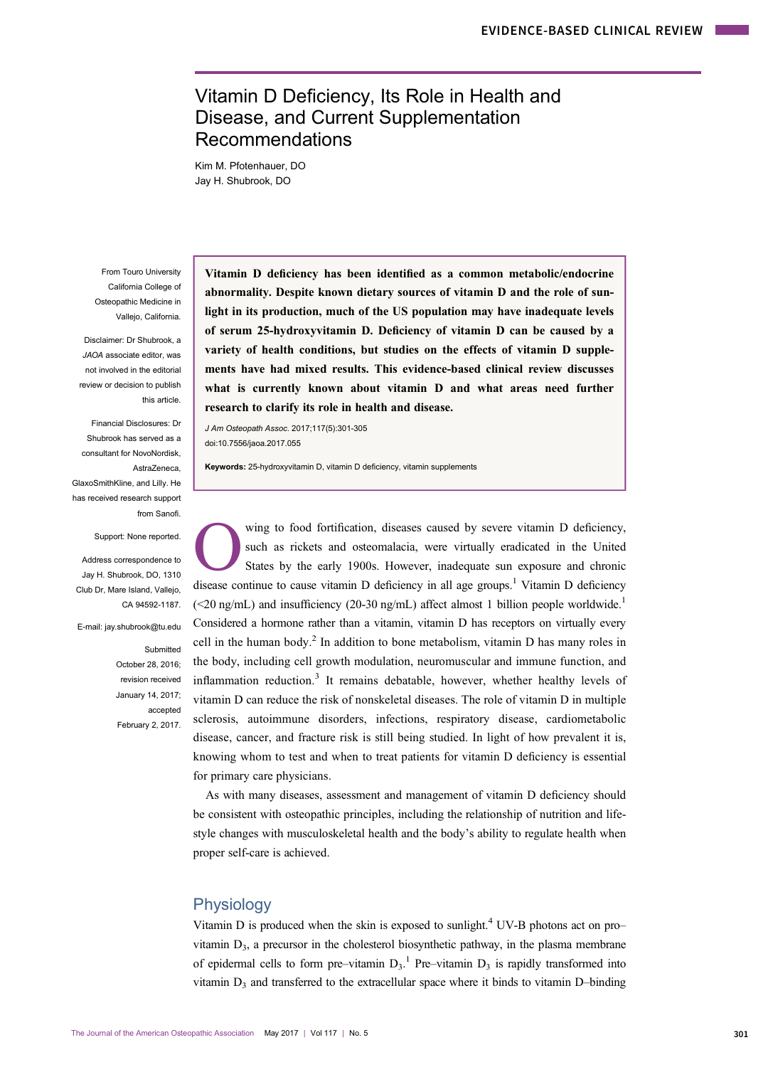# Vitamin D Deficiency, Its Role in Health and Disease, and Current Supplementation Recommendations

Kim M. Pfotenhauer, DO Jay H. Shubrook, DO

From Touro University California College of Osteopathic Medicine in Vallejo, California.

Disclaimer: Dr Shubrook, a JAOA associate editor, was not involved in the editorial review or decision to publish this article.

Financial Disclosures: Dr Shubrook has served as a consultant for NovoNordisk, AstraZeneca, GlaxoSmithKline, and Lilly. He has received research support from Sanofi.

Support: None reported.

Address correspondence to Jay H. Shubrook, DO, 1310 Club Dr, Mare Island, Vallejo, CA 94592-1187.

E-mail: jay.shubrook@tu.edu

Submitted October 28, 2016; revision received January 14, 2017; accepted February 2, 2017. Vitamin D deficiency has been identified as a common metabolic/endocrine abnormality. Despite known dietary sources of vitamin D and the role of sunlight in its production, much of the US population may have inadequate levels of serum 25-hydroxyvitamin D. Deficiency of vitamin D can be caused by a variety of health conditions, but studies on the effects of vitamin D supplements have had mixed results. This evidence-based clinical review discusses what is currently known about vitamin D and what areas need further research to clarify its role in health and disease.

J Am Osteopath Assoc. 2017;117(5):301-305 doi:10.7556/jaoa.2017.055

Keywords: 25-hydroxyvitamin D, vitamin D deficiency, vitamin supplements

wing to food fortification, diseases caused by severe vitamin D deficiency, such as rickets and osteomalacia, were virtually eradicated in the United States by the early 1900s. However, inadequate sun exposure and chronic disease continue to cause vitamin  $D$  deficiency in all age groups.<sup>[1](#page-3-0)</sup> Vitamin  $D$  deficiency  $\approx$  (<20 ng/mL) and insufficiency (20-30 ng/mL) affect almost [1](#page-3-0) billion people worldwide.<sup>1</sup> Considered a hormone rather than a vitamin, vitamin D has receptors on virtually every cell in the human body.<sup>[2](#page-3-0)</sup> In addition to bone metabolism, vitamin D has many roles in the body, including cell growth modulation, neuromuscular and immune function, and inflammation reduction.<sup>[3](#page-4-0)</sup> It remains debatable, however, whether healthy levels of vitamin D can reduce the risk of nonskeletal diseases. The role of vitamin D in multiple sclerosis, autoimmune disorders, infections, respiratory disease, cardiometabolic disease, cancer, and fracture risk is still being studied. In light of how prevalent it is, knowing whom to test and when to treat patients for vitamin D deficiency is essential for primary care physicians.

As with many diseases, assessment and management of vitamin D deficiency should be consistent with osteopathic principles, including the relationship of nutrition and lifestyle changes with musculoskeletal health and the body's ability to regulate health when proper self-care is achieved.

### Physiology

Vitamin D is produced when the skin is exposed to sunlight.<sup>4</sup> UV-B photons act on pro– vitamin  $D_3$ , a precursor in the cholesterol biosynthetic pathway, in the plasma membrane of epidermal cells to form pre–vitamin  $D_3$ .<sup>[1](#page-3-0)</sup> Pre–vitamin  $D_3$  is rapidly transformed into vitamin  $D_3$  and transferred to the extracellular space where it binds to vitamin D–binding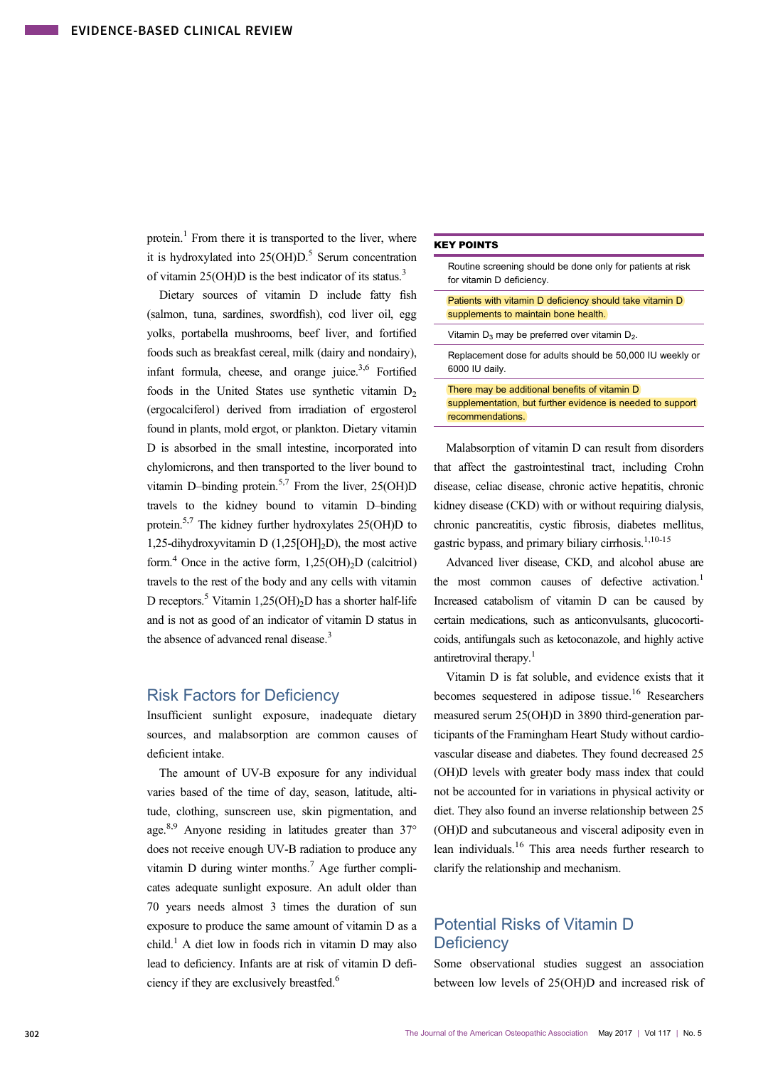protein.<sup>1</sup> From there it is transported to the liver, where it is hydroxylated into  $25(OH)D$ .<sup>5</sup> Serum concentration of vitamin 25(OH)D is the best indicator of its status.[3](#page-4-0)

Dietary sources of vitamin D include fatty fish (salmon, tuna, sardines, swordfish), cod liver oil, egg yolks, portabella mushrooms, beef liver, and fortified foods such as breakfast cereal, milk (dairy and nondairy), infant formula, cheese, and orange juice. $3,6$  $3,6$  $3,6$  Fortified foods in the United States use synthetic vitamin  $D_2$ (ergocalciferol) derived from irradiation of ergosterol found in plants, mold ergot, or plankton. Dietary vitamin D is absorbed in the small intestine, incorporated into chylomicrons, and then transported to the liver bound to vitamin D–binding protein.<sup>5,7</sup> From the liver,  $25(OH)D$ travels to the kidney bound to vitamin D–binding protein.<sup>5,[7](#page-4-0)</sup> The kidney further hydroxylates  $25(OH)D$  to 1,25-dihydroxyvitamin D  $(1,25[\text{OH}]_2\text{D})$ , the most active form.<sup>[4](#page-4-0)</sup> Once in the active form,  $1,25(OH)_2D$  (calcitriol) travels to the rest of the body and any cells with vitamin D receptors.<sup>[5](#page-4-0)</sup> Vitamin 1,25(OH)<sub>2</sub>D has a shorter half-life and is not as good of an indicator of vitamin D status in the absence of advanced renal disease.<sup>3</sup>

### Risk Factors for Deficiency

Insufficient sunlight exposure, inadequate dietary sources, and malabsorption are common causes of deficient intake.

The amount of UV-B exposure for any individual varies based of the time of day, season, latitude, altitude, clothing, sunscreen use, skin pigmentation, and age.<sup>8,9</sup> Anyone residing in latitudes greater than  $37^{\circ}$ does not receive enough UV-B radiation to produce any vitamin D during winter months.<sup>7</sup> Age further complicates adequate sunlight exposure. An adult older than 70 years needs almost 3 times the duration of sun exposure to produce the same amount of vitamin D as a child.<sup>1</sup> A diet low in foods rich in vitamin D may also lead to deficiency. Infants are at risk of vitamin D defi-ciency if they are exclusively breastfed.<sup>[6](#page-4-0)</sup>

#### KEY POINTS

Routine screening should be done only for patients at risk for vitamin D deficiency. Patients with vitamin D deficiency should take vitamin D supplements to maintain bone health.

Vitamin  $D_3$  may be preferred over vitamin  $D_2$ .

Replacement dose for adults should be 50,000 IU weekly or 6000 IU daily.

There may be additional benefits of vitamin D supplementation, but further evidence is needed to support recommendations.

Malabsorption of vitamin D can result from disorders that affect the gastrointestinal tract, including Crohn disease, celiac disease, chronic active hepatitis, chronic kidney disease (CKD) with or without requiring dialysis, chronic pancreatitis, cystic fibrosis, diabetes mellitus, gastric bypass, and primary biliary cirrhosis.<sup>1[,10](#page-4-0)-[15](#page-4-0)</sup>

Advanced liver disease, CKD, and alcohol abuse are the most common causes of defective activation.<sup>1</sup> Increased catabolism of vitamin D can be caused by certain medications, such as anticonvulsants, glucocorticoids, antifungals such as ketoconazole, and highly active antiretroviral therapy.<sup>[1](#page-3-0)</sup>

Vitamin D is fat soluble, and evidence exists that it becomes sequestered in adipose tissue.<sup>16</sup> Researchers measured serum 25(OH)D in 3890 third-generation participants of the Framingham Heart Study without cardiovascular disease and diabetes. They found decreased 25 (OH)D levels with greater body mass index that could not be accounted for in variations in physical activity or diet. They also found an inverse relationship between 25 (OH)D and subcutaneous and visceral adiposity even in lean individuals.[16](#page-4-0) This area needs further research to clarify the relationship and mechanism.

### Potential Risks of Vitamin D **Deficiency**

Some observational studies suggest an association between low levels of 25(OH)D and increased risk of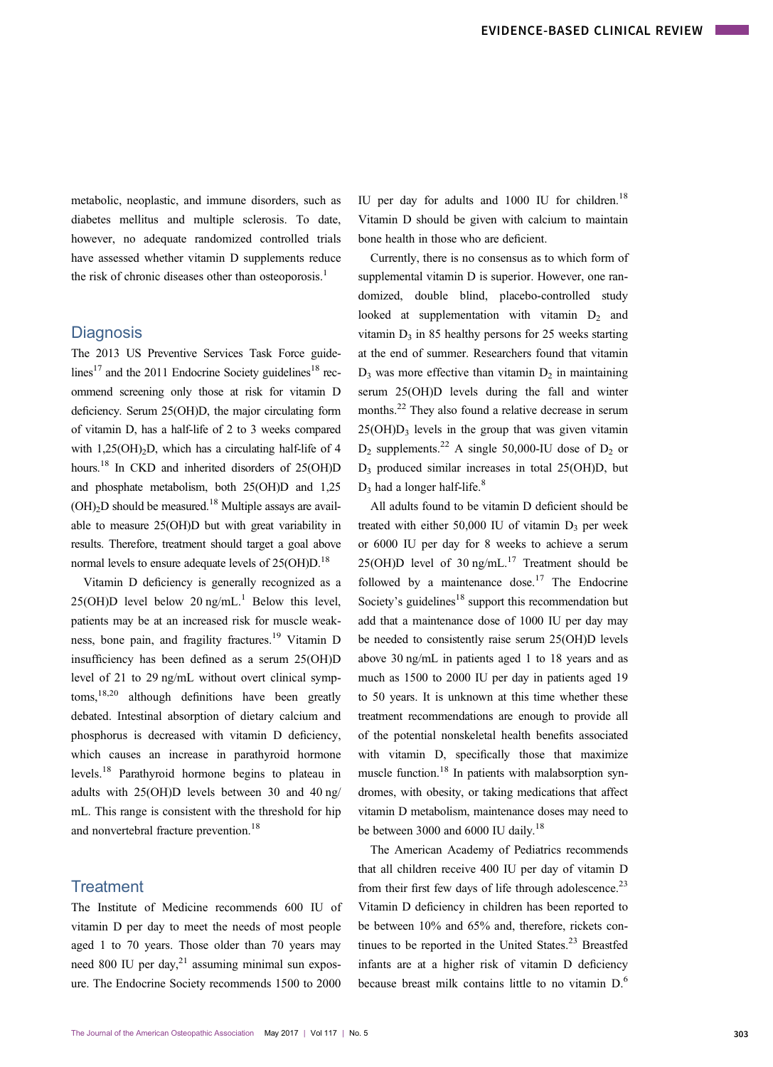metabolic, neoplastic, and immune disorders, such as diabetes mellitus and multiple sclerosis. To date, however, no adequate randomized controlled trials have assessed whether vitamin D supplements reduce the risk of chronic diseases other than osteoporosis.<sup>[1](#page-3-0)</sup>

#### **Diagnosis**

The 2013 US Preventive Services Task Force guide-lines<sup>17</sup> and the 2011 Endocrine Society guidelines<sup>[18](#page-4-0)</sup> recommend screening only those at risk for vitamin D deficiency. Serum 25(OH)D, the major circulating form of vitamin D, has a half-life of 2 to 3 weeks compared with  $1,25(OH)_{2}D$ , which has a circulating half-life of 4 hours.<sup>18</sup> In CKD and inherited disorders of 25(OH)D and phosphate metabolism, both 25(OH)D and 1,25  $(OH)<sub>2</sub>D$  should be measured.<sup>18</sup> Multiple assays are available to measure 25(OH)D but with great variability in results. Therefore, treatment should target a goal above normal levels to ensure adequate levels of  $25(OH)D$ <sup>18</sup>

Vitamin D deficiency is generally recognized as a  $25(OH)D$  level below  $20 \text{ ng/mL}$ <sup>[1](#page-3-0)</sup> Below this level, patients may be at an increased risk for muscle weakness, bone pain, and fragility fractures[.19](#page-4-0) Vitamin D insufficiency has been defined as a serum 25(OH)D level of 21 to 29 ng/mL without overt clinical symp $toms$ ,  $^{18,20}$  $^{18,20}$  $^{18,20}$  although definitions have been greatly debated. Intestinal absorption of dietary calcium and phosphorus is decreased with vitamin D deficiency, which causes an increase in parathyroid hormone levels.[18](#page-4-0) Parathyroid hormone begins to plateau in adults with 25(OH)D levels between 30 and 40 ng/ mL. This range is consistent with the threshold for hip and nonvertebral fracture prevention.<sup>18</sup>

#### **Treatment**

The Institute of Medicine recommends 600 IU of vitamin D per day to meet the needs of most people aged 1 to 70 years. Those older than 70 years may need 800 IU per day, $^{21}$  $^{21}$  $^{21}$  assuming minimal sun exposure. The Endocrine Society recommends 1500 to 2000

IU per day for adults and  $1000$  IU for children.<sup>[18](#page-4-0)</sup> Vitamin D should be given with calcium to maintain bone health in those who are deficient.

Currently, there is no consensus as to which form of supplemental vitamin D is superior. However, one randomized, double blind, placebo-controlled study looked at supplementation with vitamin  $D_2$  and vitamin  $D_3$  in 85 healthy persons for 25 weeks starting at the end of summer. Researchers found that vitamin  $D_3$  was more effective than vitamin  $D_2$  in maintaining serum 25(OH)D levels during the fall and winter months.<sup>22</sup> They also found a relative decrease in serum  $25(OH)D<sub>3</sub>$  levels in the group that was given vitamin  $D_2$  supplements.<sup>[22](#page-4-0)</sup> A single 50,000-IU dose of  $D_2$  or D3 produced similar increases in total 25(OH)D, but  $D_3$  had a longer half-life.<sup>[8](#page-4-0)</sup>

All adults found to be vitamin D deficient should be treated with either  $50,000$  IU of vitamin  $D_3$  per week or 6000 IU per day for 8 weeks to achieve a serum 25(OH)D level of 30 ng/mL $^{17}$  Treatment should be followed by a maintenance dose.<sup>17</sup> The Endocrine Society's guidelines<sup>18</sup> support this recommendation but add that a maintenance dose of 1000 IU per day may be needed to consistently raise serum 25(OH)D levels above 30 ng/mL in patients aged 1 to 18 years and as much as 1500 to 2000 IU per day in patients aged 19 to 50 years. It is unknown at this time whether these treatment recommendations are enough to provide all of the potential nonskeletal health benefits associated with vitamin D, specifically those that maximize muscle function.<sup>18</sup> In patients with malabsorption syndromes, with obesity, or taking medications that affect vitamin D metabolism, maintenance doses may need to be between 3000 and 6000 IU daily.<sup>[18](#page-4-0)</sup>

The American Academy of Pediatrics recommends that all children receive 400 IU per day of vitamin D from their first few days of life through adolescence.<sup>[23](#page-4-0)</sup> Vitamin D deficiency in children has been reported to be between 10% and 65% and, therefore, rickets continues to be reported in the United States. $23$  Breastfed infants are at a higher risk of vitamin D deficiency because breast milk contains little to no vitamin D.[6](#page-4-0)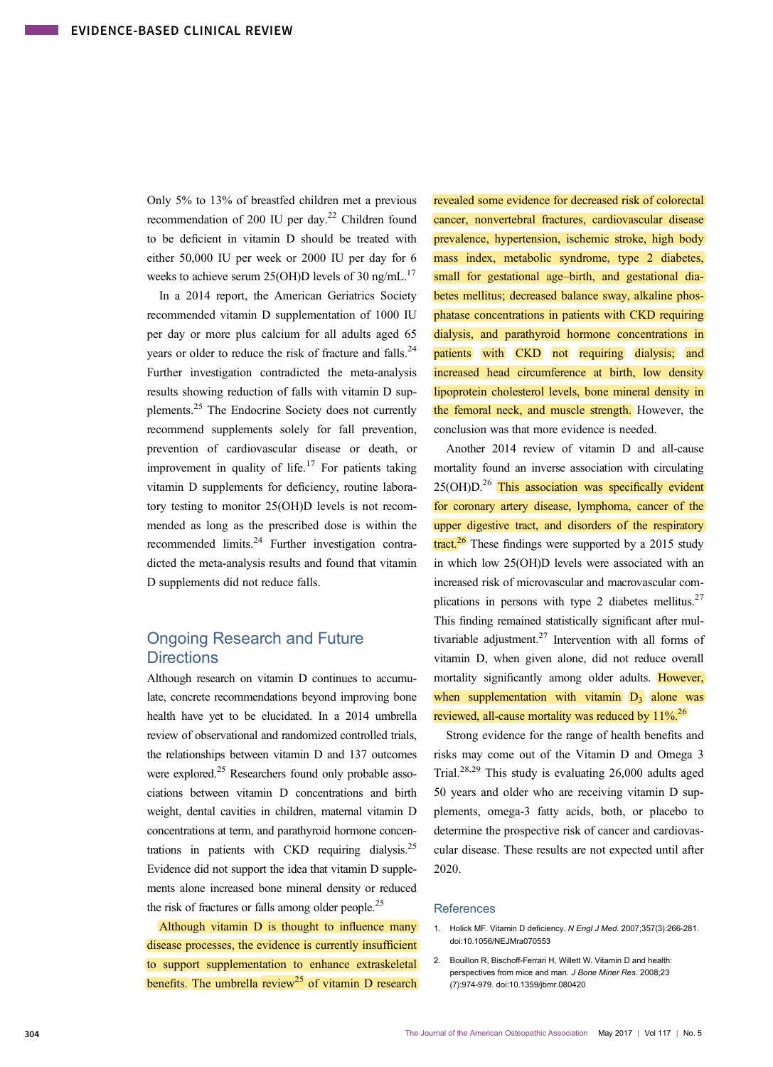<span id="page-3-0"></span>Only 5% to 13% of breastfed children met a previous recommendation of 200 IU per day.<sup>22</sup> Children found to be deficient in vitamin D should be treated with either 50,000 IU per week or 2000 IU per day for 6 weeks to achieve serum 25(OH)D levels of 30 ng/mL.<sup>17</sup>

In a 2014 report, the American Geriatrics Society recommended vitamin D supplementation of 1000 IU per day or more plus calcium for all adults aged 65 years or older to reduce the risk of fracture and falls.<sup>[24](#page-4-0)</sup> Further investigation contradicted the meta-analysis results showing reduction of falls with vitamin D supplements.<sup>25</sup> The Endocrine Society does not currently recommend supplements solely for fall prevention, prevention of cardiovascular disease or death, or improvement in quality of life.<sup>[17](#page-4-0)</sup> For patients taking vitamin D supplements for deficiency, routine laboratory testing to monitor 25(OH)D levels is not recommended as long as the prescribed dose is within the recommended limits.<sup>[24](#page-4-0)</sup> Further investigation contradicted the meta-analysis results and found that vitamin D supplements did not reduce falls.

## Ongoing Research and Future **Directions**

Although research on vitamin D continues to accumulate, concrete recommendations beyond improving bone health have yet to be elucidated. In a 2014 umbrella review of observational and randomized controlled trials, the relationships between vitamin D and 137 outcomes were explored.<sup>25</sup> Researchers found only probable associations between vitamin D concentrations and birth weight, dental cavities in children, maternal vitamin D concentrations at term, and parathyroid hormone concentrations in patients with CKD requiring dialysis.<sup>25</sup> Evidence did not support the idea that vitamin D supplements alone increased bone mineral density or reduced the risk of fractures or falls among older people.<sup>25</sup>

Although vitamin D is thought to influence many disease processes, the evidence is currently insufficient to support supplementation to enhance extraskeletal benefits. The umbrella  $review^{25}$  $review^{25}$  $review^{25}$  of vitamin D research

revealed some evidence for decreased risk of colorectal cancer, nonvertebral fractures, cardiovascular disease prevalence, hypertension, ischemic stroke, high body mass index, metabolic syndrome, type 2 diabetes, small for gestational age–birth, and gestational diabetes mellitus; decreased balance sway, alkaline phosphatase concentrations in patients with CKD requiring dialysis, and parathyroid hormone concentrations in patients with CKD not requiring dialysis; and increased head circumference at birth, low density lipoprotein cholesterol levels, bone mineral density in the femoral neck, and muscle strength. However, the conclusion was that more evidence is needed.

Another 2014 review of vitamin D and all-cause mortality found an inverse association with circulating  $25(OH)D<sup>26</sup>$  This association was specifically evident for coronary artery disease, lymphoma, cancer of the upper digestive tract, and disorders of the respiratory  $\frac{\text{tract}}{\text{4}}$  These findings were supported by a 2015 study in which low 25(OH)D levels were associated with an increased risk of microvascular and macrovascular complications in persons with type 2 diabetes mellitus. $27$ This finding remained statistically significant after multivariable adjustment.<sup>27</sup> Intervention with all forms of vitamin D, when given alone, did not reduce overall mortality significantly among older adults. However, when supplementation with vitamin  $D_3$  alone was reviewed, all-cause mortality was reduced by  $11\%^{26}$ .

Strong evidence for the range of health benefits and risks may come out of the Vitamin D and Omega 3 Trial.<sup>[28](#page-4-0),[29](#page-4-0)</sup> This study is evaluating  $26,000$  adults aged 50 years and older who are receiving vitamin D supplements, omega-3 fatty acids, both, or placebo to determine the prospective risk of cancer and cardiovascular disease. These results are not expected until after 2020.

#### **References**

- 1. Holick MF. Vitamin D deficiency. N Engl J Med. 2007;357(3):266-281. doi:10.1056/NEJMra070553
- 2. Bouillon R, Bischoff-Ferrari H, Willett W. Vitamin D and health: perspectives from mice and man. J Bone Miner Res. 2008;23 (7):974-979. doi:10.1359/jbmr.080420